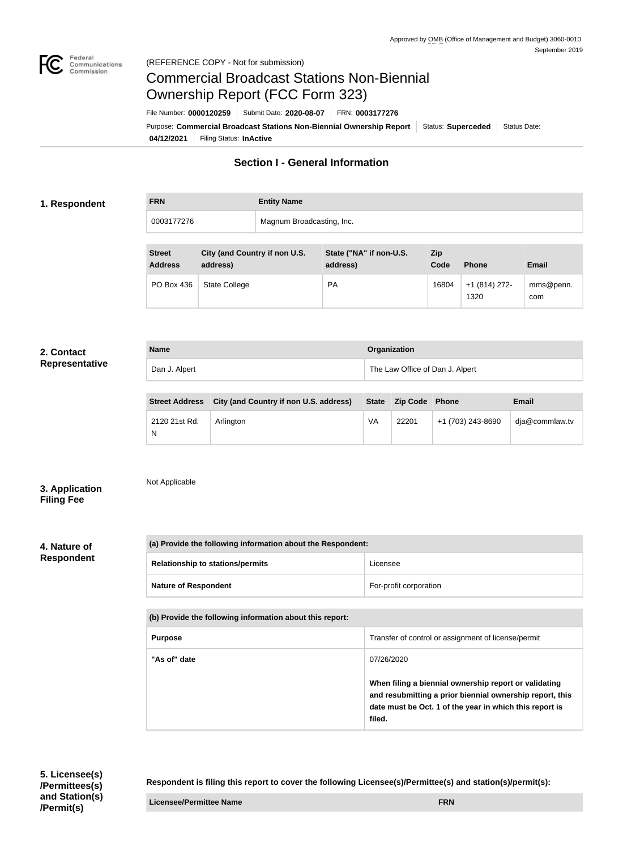

# Commercial Broadcast Stations Non-Biennial Ownership Report (FCC Form 323)

**04/12/2021** Filing Status: **InActive** Purpose: Commercial Broadcast Stations Non-Biennial Ownership Report | Status: Superceded | Status Date: File Number: **0000120259** Submit Date: **2020-08-07** FRN: **0003177276**

## **Section I - General Information**

### **1. Respondent**

| <b>FRN</b> | <b>Entity Name</b>        |
|------------|---------------------------|
| 0003177276 | Magnum Broadcasting, Inc. |

| <b>Street</b><br><b>Address</b> | City (and Country if non U.S.<br>address) | State ("NA" if non-U.S.<br>address) | Zip<br>Code | <b>Phone</b>          | <b>Email</b>     |
|---------------------------------|-------------------------------------------|-------------------------------------|-------------|-----------------------|------------------|
| PO Box 436                      | <b>State College</b>                      | <b>PA</b>                           | 16804       | +1 (814) 272-<br>1320 | mms@penn.<br>com |

#### **2. Contact Representative**

| <b>Name</b>   | Organization                    |
|---------------|---------------------------------|
| Dan J. Alpert | The Law Office of Dan J. Alpert |
|               |                                 |

| <b>Street Address</b> | City (and Country if non U.S. address) |    | State Zip Code Phone |                   | <b>Email</b>   |
|-----------------------|----------------------------------------|----|----------------------|-------------------|----------------|
| 2120 21st Rd.<br>N    | Arlington                              | VA | 22201                | +1 (703) 243-8690 | dja@commlaw.tv |

**3. Application Filing Fee**

Not Applicable

## **4. Nature of Respondent**

| (a) Provide the following information about the Respondent: |                        |  |
|-------------------------------------------------------------|------------------------|--|
| <b>Relationship to stations/permits</b>                     | Licensee               |  |
| <b>Nature of Respondent</b>                                 | For-profit corporation |  |

| (b) Provide the following information about this report: |                                                                                                                                                                                        |  |
|----------------------------------------------------------|----------------------------------------------------------------------------------------------------------------------------------------------------------------------------------------|--|
| <b>Purpose</b>                                           | Transfer of control or assignment of license/permit                                                                                                                                    |  |
| "As of" date                                             | 07/26/2020                                                                                                                                                                             |  |
|                                                          | When filing a biennial ownership report or validating<br>and resubmitting a prior biennial ownership report, this<br>date must be Oct. 1 of the year in which this report is<br>filed. |  |

**Respondent is filing this report to cover the following Licensee(s)/Permittee(s) and station(s)/permit(s):**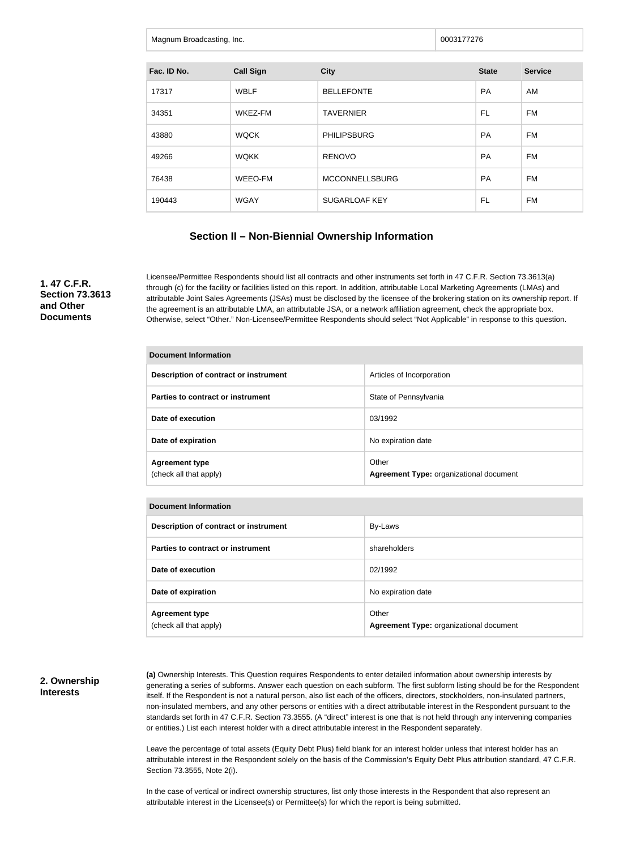| Magnum Broadcasting, Inc. | 0003177276 |  |
|---------------------------|------------|--|
|                           |            |  |

| Fac. ID No. | <b>Call Sign</b> | <b>City</b>           | <b>State</b> | <b>Service</b> |
|-------------|------------------|-----------------------|--------------|----------------|
| 17317       | <b>WBLF</b>      | <b>BELLEFONTE</b>     | <b>PA</b>    | AM             |
| 34351       | WKEZ-FM          | <b>TAVERNIER</b>      | FL           | FM             |
| 43880       | <b>WQCK</b>      | <b>PHILIPSBURG</b>    | <b>PA</b>    | <b>FM</b>      |
| 49266       | <b>WOKK</b>      | <b>RENOVO</b>         | <b>PA</b>    | FM             |
| 76438       | WEEO-FM          | <b>MCCONNELLSBURG</b> | <b>PA</b>    | FM             |
| 190443      | <b>WGAY</b>      | <b>SUGARLOAF KEY</b>  | FL           | FM             |

## **Section II – Non-Biennial Ownership Information**

**1. 47 C.F.R. Section 73.3613 and Other Documents**

Licensee/Permittee Respondents should list all contracts and other instruments set forth in 47 C.F.R. Section 73.3613(a) through (c) for the facility or facilities listed on this report. In addition, attributable Local Marketing Agreements (LMAs) and attributable Joint Sales Agreements (JSAs) must be disclosed by the licensee of the brokering station on its ownership report. If the agreement is an attributable LMA, an attributable JSA, or a network affiliation agreement, check the appropriate box. Otherwise, select "Other." Non-Licensee/Permittee Respondents should select "Not Applicable" in response to this question.

| <b>Document Information</b>                                                                         |                           |  |  |  |
|-----------------------------------------------------------------------------------------------------|---------------------------|--|--|--|
| Description of contract or instrument                                                               | Articles of Incorporation |  |  |  |
| Parties to contract or instrument                                                                   | State of Pennsylvania     |  |  |  |
| Date of execution                                                                                   | 03/1992                   |  |  |  |
| Date of expiration                                                                                  | No expiration date        |  |  |  |
| Other<br><b>Agreement type</b><br>(check all that apply)<br>Agreement Type: organizational document |                           |  |  |  |
|                                                                                                     |                           |  |  |  |
| <b>Document Information</b>                                                                         |                           |  |  |  |

| PUUUIIIVIII IIIIVIIIIUIIU                       |                                                  |  |
|-------------------------------------------------|--------------------------------------------------|--|
| Description of contract or instrument           | By-Laws                                          |  |
| Parties to contract or instrument               | shareholders                                     |  |
| Date of execution                               | 02/1992                                          |  |
| Date of expiration                              | No expiration date                               |  |
| <b>Agreement type</b><br>(check all that apply) | Other<br>Agreement Type: organizational document |  |

#### **2. Ownership Interests**

**(a)** Ownership Interests. This Question requires Respondents to enter detailed information about ownership interests by generating a series of subforms. Answer each question on each subform. The first subform listing should be for the Respondent itself. If the Respondent is not a natural person, also list each of the officers, directors, stockholders, non-insulated partners, non-insulated members, and any other persons or entities with a direct attributable interest in the Respondent pursuant to the standards set forth in 47 C.F.R. Section 73.3555. (A "direct" interest is one that is not held through any intervening companies or entities.) List each interest holder with a direct attributable interest in the Respondent separately.

Leave the percentage of total assets (Equity Debt Plus) field blank for an interest holder unless that interest holder has an attributable interest in the Respondent solely on the basis of the Commission's Equity Debt Plus attribution standard, 47 C.F.R. Section 73.3555, Note 2(i).

In the case of vertical or indirect ownership structures, list only those interests in the Respondent that also represent an attributable interest in the Licensee(s) or Permittee(s) for which the report is being submitted.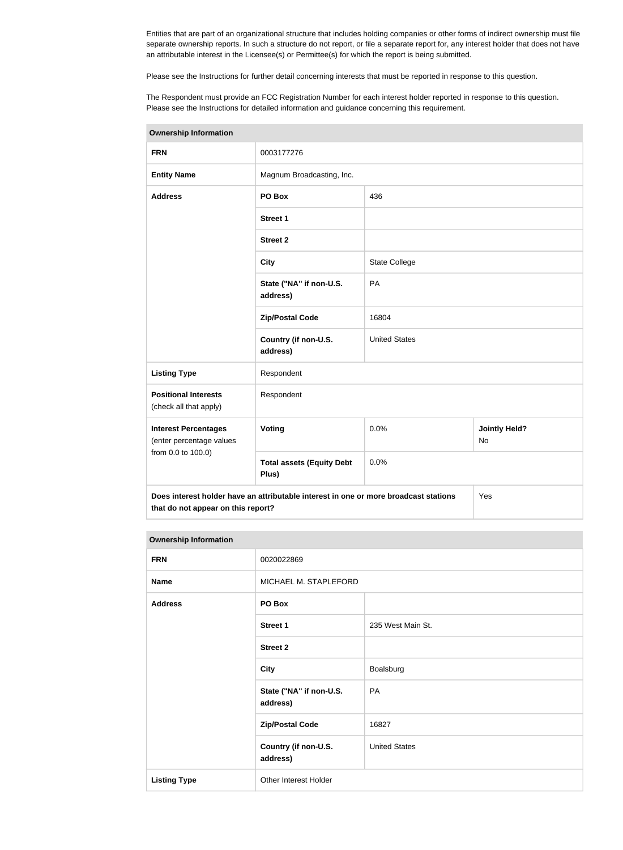Entities that are part of an organizational structure that includes holding companies or other forms of indirect ownership must file separate ownership reports. In such a structure do not report, or file a separate report for, any interest holder that does not have an attributable interest in the Licensee(s) or Permittee(s) for which the report is being submitted.

Please see the Instructions for further detail concerning interests that must be reported in response to this question.

The Respondent must provide an FCC Registration Number for each interest holder reported in response to this question. Please see the Instructions for detailed information and guidance concerning this requirement.

| <b>Ownership Information</b>                            |                                                                                      |                      |                                   |
|---------------------------------------------------------|--------------------------------------------------------------------------------------|----------------------|-----------------------------------|
| <b>FRN</b>                                              | 0003177276                                                                           |                      |                                   |
| <b>Entity Name</b>                                      | Magnum Broadcasting, Inc.                                                            |                      |                                   |
| <b>Address</b>                                          | PO Box                                                                               | 436                  |                                   |
|                                                         | <b>Street 1</b>                                                                      |                      |                                   |
|                                                         | <b>Street 2</b>                                                                      |                      |                                   |
|                                                         | <b>City</b>                                                                          | <b>State College</b> |                                   |
|                                                         | State ("NA" if non-U.S.<br>address)                                                  | PA                   |                                   |
|                                                         | <b>Zip/Postal Code</b>                                                               | 16804                |                                   |
|                                                         | Country (if non-U.S.<br>address)                                                     | <b>United States</b> |                                   |
| <b>Listing Type</b>                                     | Respondent<br>Respondent                                                             |                      |                                   |
| <b>Positional Interests</b><br>(check all that apply)   |                                                                                      |                      |                                   |
| <b>Interest Percentages</b><br>(enter percentage values | Voting                                                                               | 0.0%                 | <b>Jointly Held?</b><br><b>No</b> |
| from 0.0 to 100.0)                                      | <b>Total assets (Equity Debt</b><br>Plus)                                            | 0.0%                 |                                   |
| that do not appear on this report?                      | Does interest holder have an attributable interest in one or more broadcast stations |                      | Yes                               |

| <b>Ownership Information</b> |                                     |                      |
|------------------------------|-------------------------------------|----------------------|
| <b>FRN</b>                   | 0020022869                          |                      |
| <b>Name</b>                  | MICHAEL M. STAPLEFORD               |                      |
| <b>Address</b>               | PO Box                              |                      |
|                              | <b>Street 1</b>                     | 235 West Main St.    |
|                              | <b>Street 2</b>                     |                      |
|                              | <b>City</b>                         | Boalsburg            |
|                              | State ("NA" if non-U.S.<br>address) | PA                   |
|                              | <b>Zip/Postal Code</b>              | 16827                |
|                              | Country (if non-U.S.<br>address)    | <b>United States</b> |

**Listing Type Other Interest Holder** 

#### **Ownership Information**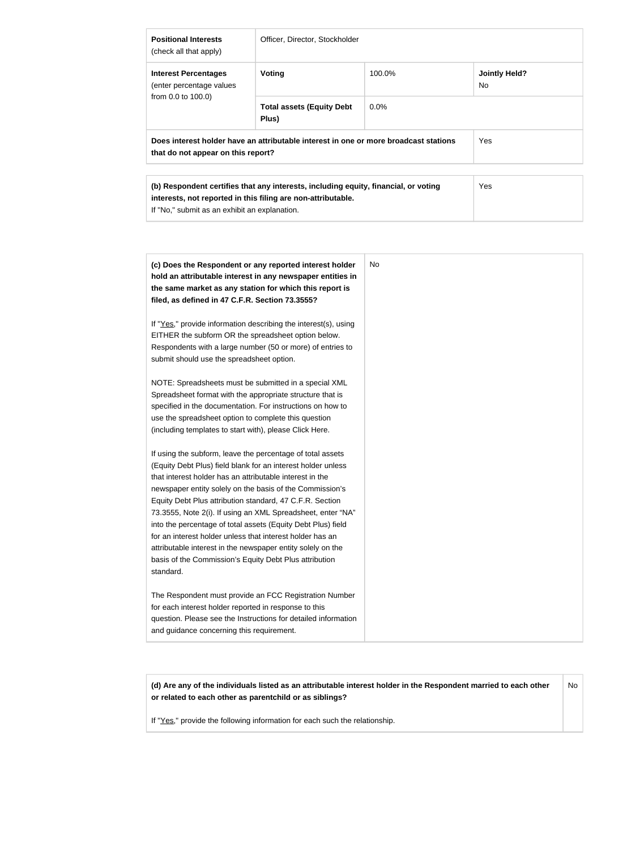| <b>Positional Interests</b><br>(check all that apply)                                                                      | Officer, Director, Stockholder            |         |                             |
|----------------------------------------------------------------------------------------------------------------------------|-------------------------------------------|---------|-----------------------------|
| <b>Interest Percentages</b><br>(enter percentage values<br>from 0.0 to 100.0)                                              | Voting                                    | 100.0%  | <b>Jointly Held?</b><br>No. |
|                                                                                                                            | <b>Total assets (Equity Debt</b><br>Plus) | $0.0\%$ |                             |
| Does interest holder have an attributable interest in one or more broadcast stations<br>that do not appear on this report? |                                           |         | Yes                         |
| (b) Respondent certifies that any interests, including equity, financial, or voting                                        |                                           |         | Yes                         |
| interests, not reported in this filing are non-attributable.                                                               |                                           |         |                             |

If "No," submit as an exhibit an explanation.

| (c) Does the Respondent or any reported interest holder         | No |
|-----------------------------------------------------------------|----|
| hold an attributable interest in any newspaper entities in      |    |
| the same market as any station for which this report is         |    |
| filed, as defined in 47 C.F.R. Section 73.3555?                 |    |
| If "Yes," provide information describing the interest(s), using |    |
| EITHER the subform OR the spreadsheet option below.             |    |
| Respondents with a large number (50 or more) of entries to      |    |
| submit should use the spreadsheet option.                       |    |
| NOTE: Spreadsheets must be submitted in a special XML           |    |
| Spreadsheet format with the appropriate structure that is       |    |
| specified in the documentation. For instructions on how to      |    |
| use the spreadsheet option to complete this question            |    |
| (including templates to start with), please Click Here.         |    |
| If using the subform, leave the percentage of total assets      |    |
| (Equity Debt Plus) field blank for an interest holder unless    |    |
| that interest holder has an attributable interest in the        |    |
| newspaper entity solely on the basis of the Commission's        |    |
| Equity Debt Plus attribution standard, 47 C.F.R. Section        |    |
| 73.3555, Note 2(i). If using an XML Spreadsheet, enter "NA"     |    |
| into the percentage of total assets (Equity Debt Plus) field    |    |
| for an interest holder unless that interest holder has an       |    |
| attributable interest in the newspaper entity solely on the     |    |
| basis of the Commission's Equity Debt Plus attribution          |    |
| standard.                                                       |    |
| The Respondent must provide an FCC Registration Number          |    |
| for each interest holder reported in response to this           |    |
| question. Please see the Instructions for detailed information  |    |
| and guidance concerning this requirement.                       |    |
|                                                                 |    |

**(d) Are any of the individuals listed as an attributable interest holder in the Respondent married to each other or related to each other as parentchild or as siblings?** No

If "Yes," provide the following information for each such the relationship.